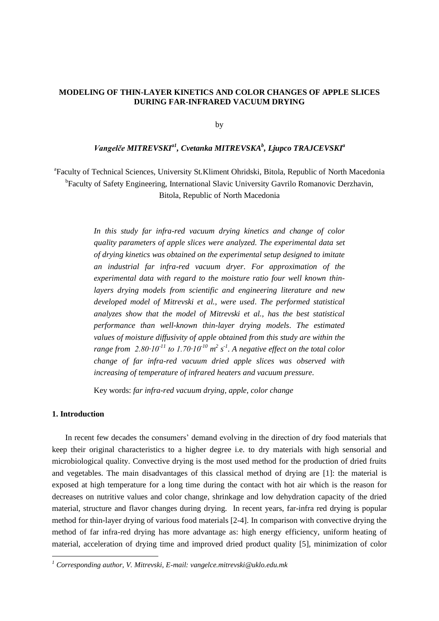# **MODELING OF THIN-LAYER KINETICS AND COLOR CHANGES OF APPLE SLICES DURING FAR-INFRARED VACUUM DRYING**

by

## *Vangelče MITREVSKIa1 , Cvetanka MITREVSKA<sup>b</sup> , Ljupco TRAJCEVSKI<sup>a</sup>*

<sup>a</sup> Faculty of Technical Sciences, University St. Kliment Ohridski, Bitola, Republic of North Macedonia <sup>b</sup>Faculty of Safety Engineering, International Slavic University Gavrilo Romanovic Derzhavin, Bitola, Republic of North Macedonia

> *In this study far infra-red vacuum drying kinetics and change of color quality parameters of apple slices were analyzed. The experimental data set of drying kinetics was obtained on the experimental setup designed to imitate an industrial far infra-red vacuum dryer. For approximation of the experimental data with regard to the moisture ratio four well known thinlayers drying models from scientific and engineering literature and new developed model of Mitrevski et al., were used. The performed statistical analyzes show that the model of Mitrevski et al., has the best statistical performance than well-known thin-layer drying models*. *The estimated values of moisture diffusivity of apple obtained from this study are within the range from* 2.80 $\cdot$ 10<sup>-11</sup> to 1.70 $\cdot$ 10<sup>-10</sup>  $m^2$  s<sup>-1</sup>. A negative effect on the total color *change of far infra-red vacuum dried apple slices was observed with increasing of temperature of infrared heaters and vacuum pressure.*

Key words: *far infra-red vacuum drying, apple, color change*

## **1. Introduction**

 $\overline{a}$ 

In recent few decades the consumers' demand evolving in the direction of dry food materials that keep their original characteristics to a higher degree i.e. to dry materials with high sensorial and microbiological quality. Convective drying is the most used method for the production of dried fruits and vegetables. The main disadvantages of this classical method of drying are [1]: the material is exposed at high temperature for a long time during the contact with hot air which is the reason for decreases on nutritive values and color change, shrinkage and low dehydration capacity of the dried material, structure and flavor changes during drying. In recent years, far-infra red drying is popular method for thin-layer drying of various food materials [2-4]. In comparison with convective drying the method of far infra-red drying has more advantage as: high energy efficiency, uniform heating of material, acceleration of drying time and improved dried product quality [5], minimization of color

*<sup>1</sup> Corresponding author, V. Mitrevski, E-mail: vangelce.mitrevski@uklo.edu.mk*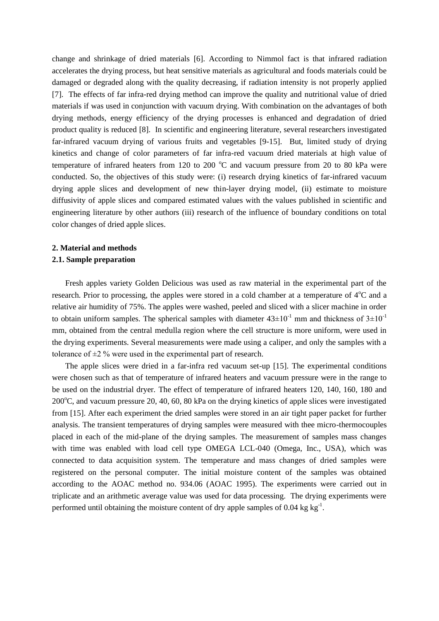change and shrinkage of dried materials [6]. According to Nimmol fact is that infrared radiation accelerates the drying process, but heat sensitive materials as agricultural and foods materials could be damaged or degraded along with the quality decreasing, if radiation intensity is not properly applied [7]. The effects of far infra-red drying method can improve the quality and nutritional value of dried materials if was used in conjunction with vacuum drying. With combination on the advantages of both drying methods, energy efficiency of the drying processes is enhanced and degradation of dried product quality is reduced [8]. In scientific and engineering literature, several researchers investigated far-infrared vacuum drying of various fruits and vegetables [9-15]. But, limited study of drying kinetics and change of color parameters of far infra-red vacuum dried materials at high value of temperature of infrared heaters from 120 to 200  $^{\circ}$ C and vacuum pressure from 20 to 80 kPa were conducted. So, the objectives of this study were: (i) research drying kinetics of far-infrared vacuum drying apple slices and development of new thin-layer drying model, (ii) estimate to moisture diffusivity of apple slices and compared estimated values with the values published in scientific and engineering literature by other authors (iii) research of the influence of boundary conditions on total color changes of dried apple slices.

# **2. Material and methods 2.1. Sample preparation**

Fresh apples variety Golden Delicious was used as raw material in the experimental part of the research. Prior to processing, the apples were stored in a cold chamber at a temperature of  $4^{\circ}C$  and a relative air humidity of 75%. The apples were washed, peeled and sliced with a slicer machine in order to obtain uniform samples. The spherical samples with diameter  $43\pm10^{-1}$  mm and thickness of  $3\pm10^{-1}$ mm, obtained from the central medulla region where the cell structure is more uniform, were used in the drying experiments. Several measurements were made using a caliper, and only the samples with a tolerance of ±2 % were used in the experimental part of research.

The apple slices were dried in a far-infra red vacuum set-up [15]. The experimental conditions were chosen such as that of temperature of infrared heaters and vacuum pressure were in the range to be used on the industrial dryer. The effect of temperature of infrared heaters 120, 140, 160, 180 and  $200^{\circ}$ C, and vacuum pressure 20, 40, 60, 80 kPa on the drying kinetics of apple slices were investigated from [15]. After each experiment the dried samples were stored in an air tight paper packet for further analysis. The transient temperatures of drying samples were measured with thee micro-thermocouples placed in each of the mid-plane of the drying samples. The measurement of samples mass changes with time was enabled with load cell type OMEGA LCL-040 (Omega, Inc., USA), which was connected to data acquisition system. The temperature and mass changes of dried samples were registered on the personal computer. The initial moisture content of the samples was obtained according to the AOAC method no. 934.06 (AOAC 1995). The experiments were carried out in triplicate and an arithmetic average value was used for data processing. The drying experiments were performed until obtaining the moisture content of dry apple samples of 0.04 kg  $kg^{-1}$ .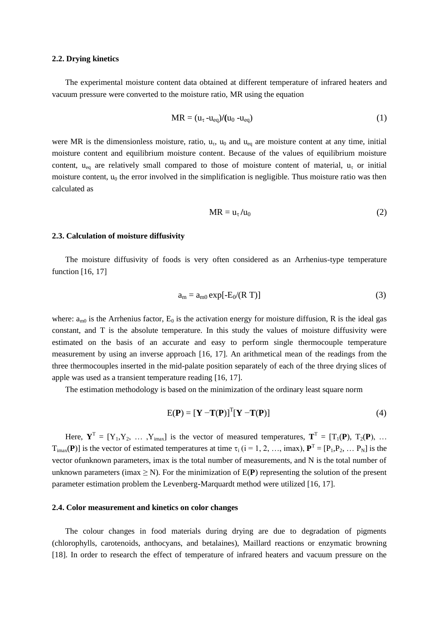## **2.2. Drying kinetics**

The experimental moisture content data obtained at different temperature of infrared heaters and vacuum pressure were converted to the moisture ratio, MR using the equation

$$
MR = (u_{\tau} - u_{eq})/(u_0 - u_{eq})
$$
\n(1)

were MR is the dimensionless moisture, ratio,  $u_{\tau}$ ,  $u_0$  and  $u_{\text{eq}}$  are moisture content at any time, initial moisture content and equilibrium moisture content. Because of the values of equilibrium moisture content, u<sub>eq</sub> are relatively small compared to those of moisture content of material, u<sub>r</sub> or initial moisture content,  $u_0$  the error involved in the simplification is negligible. Thus moisture ratio was then calculated as

$$
MR = u_{\tau}/u_0 \tag{2}
$$

#### **2.3. Calculation of moisture diffusivity**

The moisture diffusivity of foods is very often considered as an Arrhenius-type temperature function [16, 17]

$$
a_{m} = a_{m0} \exp[-E_0/(R T)] \tag{3}
$$

where:  $a_{m0}$  is the Arrhenius factor,  $E_0$  is the activation energy for moisture diffusion, R is the ideal gas constant, and T is the absolute temperature. In this study the values of moisture diffusivity were estimated on the basis of an accurate and easy to perform single thermocouple temperature measurement by using an inverse approach [16, 17]. An arithmetical mean of the readings from the three thermocouples inserted in the mid-palate position separately of each of the three drying slices of apple was used as a transient temperature reading [16, 17].

The estimation methodology is based on the minimization of the ordinary least square norm

$$
E(\mathbf{P}) = [\mathbf{Y} - \mathbf{T}(\mathbf{P})]^{\mathrm{T}} [\mathbf{Y} - \mathbf{T}(\mathbf{P})]
$$
(4)

Here,  $Y^T = [Y_1, Y_2, \dots, Y_{\text{max}}]$  is the vector of measured temperatures,  $T^T = [T_1(P), T_2(P), \dots, T_m]$  $T_{\text{imax}}(P)$ ] is the vector of estimated temperatures at time  $\tau_i$  (i = 1, 2, …, imax),  $P^T = [P_1, P_2, \dots P_N]$  is the vector ofunknown parameters, imax is the total number of measurements, and N is the total number of unknown parameters (imax  $\geq$  N). For the minimization of  $E(P)$  representing the solution of the present parameter estimation problem the Levenberg-Marquardt method were utilized [16, 17].

#### **2.4. Color measurement and kinetics on color changes**

The colour changes in food materials during drying are due to degradation of pigments (chlorophylls, carotenoids, anthocyans, and betalaines), Maillard reactions or enzymatic browning [18]. In order to research the effect of temperature of infrared heaters and vacuum pressure on the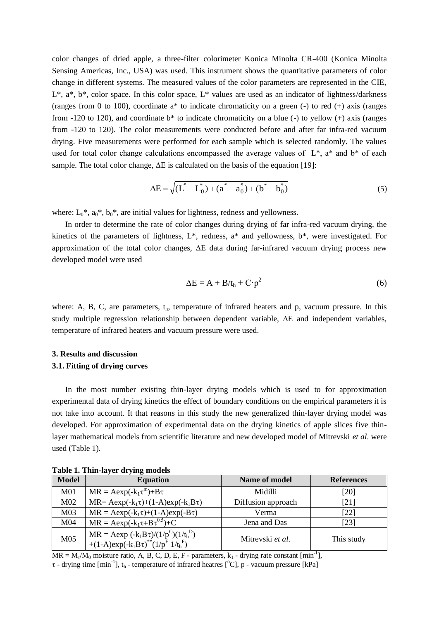color changes of dried apple, a three-filter colorimeter Konica Minolta CR-400 (Konica Minolta Sensing Americas, Inc., USA) was used. This instrument shows the quantitative parameters of color change in different systems. The measured values of the color parameters are represented in the CIE,  $L^*$ ,  $a^*$ ,  $b^*$ , color space. In this color space,  $L^*$  values are used as an indicator of lightness/darkness (ranges from 0 to 100), coordinate a\* to indicate chromaticity on a green (-) to red (+) axis (ranges from -120 to 120), and coordinate  $b^*$  to indicate chromaticity on a blue (-) to yellow (+) axis (ranges from -120 to 120). The color measurements were conducted before and after far infra-red vacuum drying. Five measurements were performed for each sample which is selected randomly. The values used for total color change calculations encompassed the average values of  $L^*$ ,  $a^*$  and  $b^*$  of each sample. The total color change,  $\Delta E$  is calculated on the basis of the equation [19]:

$$
\Delta E = \sqrt{(L^* - L_0^*) + (a^* - a_0^*) + (b^* - b_0^*)}
$$
\n(5)

where:  $L_0^*$ ,  $a_0^*$ ,  $b_0^*$ , are initial values for lightness, redness and yellowness.

In order to determine the rate of color changes during drying of far infra-red vacuum drying, the kinetics of the parameters of lightness, L\*, redness, a\* and yellowness, b\*, were investigated. For approximation of the total color changes,  $\Delta E$  data during far-infrared vacuum drying process new developed model were used

$$
\Delta E = A + B/t_h + C \cdot p^2 \tag{6}
$$

where: A, B, C, are parameters,  $t<sub>h</sub>$ , temperature of infrared heaters and p, vacuum pressure. In this study multiple regression relationship between dependent variable,  $\Delta E$  and independent variables, temperature of infrared heaters and vacuum pressure were used.

# **3. Results and discussion**

## **3.1. Fitting of drying curves**

In the most number existing thin-layer drying models which is used to for approximation experimental data of drying kinetics the effect of boundary conditions on the empirical parameters it is not take into account. It that reasons in this study the new generalized thin-layer drying model was developed. For approximation of experimental data on the drying kinetics of apple slices five thinlayer mathematical models from scientific literature and new developed model of Mitrevski *et al*. were used (Table 1).

| <b>Model</b>    | <b>Equation</b>                                                                                                                                 | Name of model           | <b>References</b> |
|-----------------|-------------------------------------------------------------------------------------------------------------------------------------------------|-------------------------|-------------------|
| M <sub>01</sub> | $MR = Aexp(-k_1\tau^m) + B\tau$                                                                                                                 | Midilli                 | [20]              |
| M <sub>02</sub> | $MR = Aexp(-k_1\tau) + (1-A)exp(-k_1B\tau)$                                                                                                     | Diffusion approach      | [21]              |
| M <sub>03</sub> | $MR = Aexp(-k_1\tau) + (1-A)exp(-B\tau)$                                                                                                        | Verma                   | [22]              |
| M <sub>04</sub> | $MR = Aexp(-k_1 \tau + B \tau^{0.5}) + C$                                                                                                       | Jena and Das            | [23]              |
| M <sub>05</sub> | $MR = Aexp(-k_1B\tau)/(1/p^C)(1/t_h^D)$<br>+(1-A)exp(-k <sub>1</sub> B $\tau$ ) <sup>**</sup> (1/p <sup>E</sup> 1/t <sub>h</sub> <sup>F</sup> ) | Mitrevski <i>et al.</i> | This study        |

**Table 1. Thin-layer drying models**

 $MR = M_v/M_0$  moisture ratio, A, B, C, D, E, F - parameters,  $k_1$  - drying rate constant [min<sup>-1</sup>],

 $\tau$  - drying time [min<sup>-1</sup>], t<sub>h</sub> - temperature of infrared heatres [°C], p - vacuum pressure [kPa]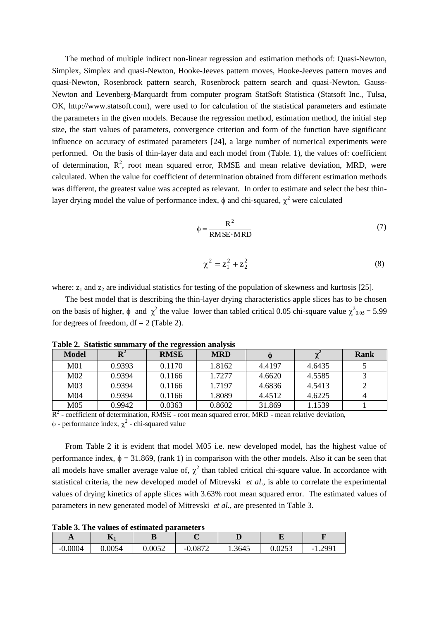The method of multiple indirect non-linear regression and estimation methods of: Quasi-Newton, Simplex, Simplex and quasi-Newton, Hooke-Jeeves pattern moves, Hooke-Jeeves pattern moves and quasi-Newton, Rosenbrock pattern search, Rosenbrock pattern search and quasi-Newton, Gauss-Newton and Levenberg-Marquardt from computer program StatSoft Statistica (Statsoft Inc., Tulsa, OK, http://www.statsoft.com), were used to for calculation of the statistical parameters and estimate the parameters in the given models. Because the regression method, estimation method, the initial step size, the start values of parameters, convergence criterion and form of the function have significant influence on accuracy of estimated parameters [24], a large number of numerical experiments were performed. On the basis of thin-layer data and each model from (Table. 1), the values of: coefficient of determination,  $R^2$ , root mean squared error, RMSE and mean relative deviation, MRD, were calculated. When the value for coefficient of determination obtained from different estimation methods was different, the greatest value was accepted as relevant. In order to estimate and select the best thinlayer drying model the value of performance index,  $\phi$  and chi-squared,  $\chi^2$  were calculated

$$
\phi = \frac{R^2}{RMSE \cdot MRD} \tag{7}
$$

$$
\chi^2 = z_1^2 + z_2^2 \tag{8}
$$

where:  $z_1$  and  $z_2$  are individual statistics for testing of the population of skewness and kurtosis [25].

The best model that is describing the thin-layer drying characteristics apple slices has to be chosen on the basis of higher,  $\phi$  and  $\chi^2$  the value lower than tabled critical 0.05 chi-square value  $\chi^2_{0.05} = 5.99$ for degrees of freedom,  $df = 2$  (Table 2).

| Model           | $\mathbf{R}^2$ | $\epsilon$<br><b>RMSE</b> | <b>MRD</b> | ⋒      |        | Rank |
|-----------------|----------------|---------------------------|------------|--------|--------|------|
| M01             | 0.9393         | 0.1170                    | 1.8162     | 4.4197 | 4.6435 |      |
| M <sub>02</sub> | 0.9394         | 0.1166                    | 1.7277     | 4.6620 | 4.5585 |      |
| M <sub>03</sub> | 0.9394         | 0.1166                    | 1.7197     | 4.6836 | 4.5413 |      |
| M <sub>04</sub> | 0.9394         | 0.1166                    | 1.8089     | 4.4512 | 4.6225 |      |
| M05             | 0.9942         | 0.0363                    | 0.8602     | 31.869 | 1.1539 |      |

**Table 2. Statistic summary of the regression analysis**

 $R<sup>2</sup>$  - coefficient of determination, RMSE - root mean squared error, MRD - mean relative deviation,

 $\phi$  - performance index,  $\chi^2$  - chi-squared value

From Table 2 it is evident that model M05 i.e. new developed model, has the highest value of performance index,  $\phi = 31.869$ , (rank 1) in comparison with the other models. Also it can be seen that all models have smaller average value of,  $\chi^2$  than tabled critical chi-square value. In accordance with statistical criteria, the new developed model of Mitrevski *et al*., is able to correlate the experimental values of drying kinetics of apple slices with 3.63% root mean squared error. The estimated values of parameters in new generated model of Mitrevski *et al.,* are presented in Table 3.

**Table 3. The values of estimated parameters** 

| $\mathbf{L}$ | $\mathbf{N}_1$ | υ                |           |        |                    |                                    |
|--------------|----------------|------------------|-----------|--------|--------------------|------------------------------------|
| $-0.0004$    | 0.0054         | በ በበ52<br>U.UUJZ | $-0.0872$ | 1.3645 | $\Omega$<br>U.UZJJ | 1.2991<br>$\overline{\phantom{0}}$ |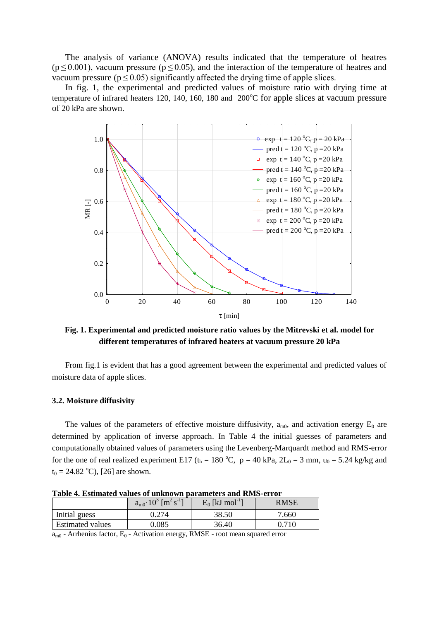The analysis of variance (ANOVA) results indicated that the temperature of heatres  $(p \le 0.001)$ , vacuum pressure ( $p \le 0.05$ ), and the interaction of the temperature of heatres and vacuum pressure ( $p \le 0.05$ ) significantly affected the drying time of apple slices.

In fig. 1, the experimental and predicted values of moisture ratio with drying time at temperature of infrared heaters 120, 140, 160, 180 and  $200^{\circ}$ C for apple slices at vacuum pressure of 20 kPa are shown.



**Fig. 1. Experimental and predicted moisture ratio values by the Mitrevski et al. model for different temperatures of infrared heaters at vacuum pressure 20 kPa**

From fig.1 is evident that has a good agreement between the experimental and predicted values of moisture data of apple slices.

## **3.2. Moisture diffusivity**

The values of the parameters of effective moisture diffusivity,  $a_{m0}$ , and activation energy  $E_0$  are determined by application of inverse approach. In Table 4 the initial guesses of parameters and computationally obtained values of parameters using the Levenberg-Marquardt method and RMS-error for the one of real realized experiment E17 ( $t_h = 180$  °C,  $p = 40$  kPa,  $2L_0 = 3$  mm,  $u_0 = 5.24$  kg/kg and  $t_0 = 24.82$  °C), [26] are shown.

|                         | $a_{m0}$ $10^3$ [m <sup>2</sup> s <sup>-1</sup> ] | $E_0$ [kJ mol <sup>-1</sup> ] | RMSE  |
|-------------------------|---------------------------------------------------|-------------------------------|-------|
| Initial guess           | 0.274                                             | 38.50                         | 7.660 |
| <b>Estimated values</b> | $\,0.085\,$                                       | 36.40                         | 0.710 |
|                         |                                                   |                               |       |

**Table 4. Estimated values of unknown parameters and RMS-error**

 $a_{m0}$  - Arrhenius factor,  $E_0$  - Activation energy, RMSE - root mean squared error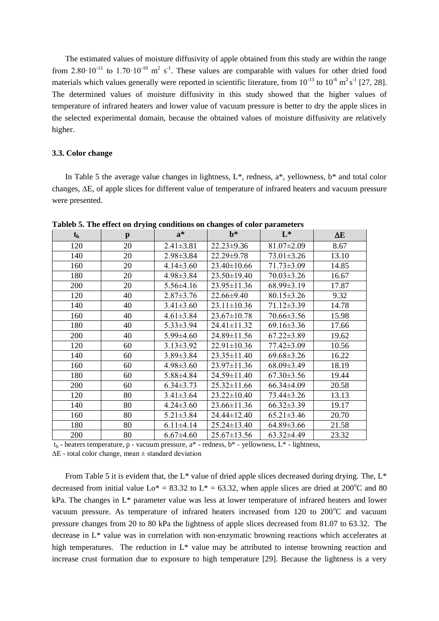The estimated values of moisture diffusivity of apple obtained from this study are within the range from  $2.80 \cdot 10^{-11}$  to  $1.70 \cdot 10^{-10}$  m<sup>2</sup> s<sup>-1</sup>. These values are comparable with values for other dried food materials which values generally were reported in scientific literature, from  $10^{-13}$  to  $10^{-6}$  m<sup>2</sup> s<sup>-1</sup> [27, 28]. The determined values of moisture diffusivity in this study showed that the higher values of temperature of infrared heaters and lower value of vacuum pressure is better to dry the apple slices in the selected experimental domain, because the obtained values of moisture diffusivity are relatively higher.

## **3.3. Color change**

In Table 5 the average value changes in lightness,  $L^*$ , redness,  $a^*$ , yellowness,  $b^*$  and total color changes,  $\Delta E$ , of apple slices for different value of temperature of infrared heaters and vacuum pressure were presented.

| $t_{h}$ | $\mathbf{p}$ | $a^*$           | $\mathbf{b}^*$    | $L^*$            | $\Delta E$ |
|---------|--------------|-----------------|-------------------|------------------|------------|
| 120     | 20           | $2.41 \pm 3.81$ | $22.23 \pm 9.36$  | $81.07 \pm 2.09$ | 8.67       |
| 140     | 20           | $2.98 \pm 3.84$ | 22.29±9.78        | $73.01 \pm 3.26$ | 13.10      |
| 160     | 20           | $4.14 \pm 3.60$ | $23.40 \pm 10.66$ | $71.73 \pm 3.09$ | 14.85      |
| 180     | 20           | $4.98 \pm 3.84$ | 23.50±19.40       | $70.03 \pm 3.26$ | 16.67      |
| 200     | 20           | $5.56 \pm 4.16$ | $23.95 \pm 11.36$ | $68.99 \pm 3.19$ | 17.87      |
| 120     | 40           | $2.87 \pm 3.76$ | 22.66±9.40        | $80.15 \pm 3.26$ | 9.32       |
| 140     | 40           | $3.41 \pm 3.60$ | $23.11 \pm 10.36$ | $71.12 \pm 3.39$ | 14.78      |
| 160     | 40           | $4.61 \pm 3.84$ | 23.67±10.78       | $70.66 \pm 3.56$ | 15.98      |
| 180     | 40           | $5.33 \pm 3.94$ | $24.41 \pm 11.32$ | $69.16 \pm 3.36$ | 17.66      |
| 200     | 40           | $5.99 \pm 4.60$ | 24.89±11.56       | $67.22 \pm 3.89$ | 19.62      |
| 120     | 60           | $3.13 \pm 3.92$ | $22.91 \pm 10.36$ | $77.42 \pm 3.09$ | 10.56      |
| 140     | 60           | $3.89 \pm 3.84$ | $23.35 \pm 11.40$ | $69.68 \pm 3.26$ | 16.22      |
| 160     | 60           | $4.98 \pm 3.60$ | $23.97 \pm 11.36$ | $68.09 \pm 3.49$ | 18.19      |
| 180     | 60           | $5.88\pm4.84$   | 24.59±11.40       | $67.30 \pm 3.56$ | 19.44      |
| 200     | 60           | $6.34 \pm 3.73$ | $25.32 \pm 11.66$ | $66.34\pm4.09$   | 20.58      |
| 120     | 80           | $3.41 \pm 3.64$ | $23.22 \pm 10.40$ | 73.44±3.26       | 13.13      |
| 140     | 80           | $4.24 \pm 3.60$ | $23.66 \pm 11.36$ | $66.32 \pm 3.39$ | 19.17      |
| 160     | 80           | $5.21 \pm 3.84$ | 24.44±12.40       | $65.21 \pm 3.46$ | 20.70      |
| 180     | 80           | $6.11 \pm 4.14$ | $25.24 \pm 13.40$ | $64.89 \pm 3.66$ | 21.58      |
| 200     | 80           | $6.67 \pm 4.60$ | $25.67 \pm 13.56$ | $63.32\pm4.49$   | 23.32      |

**Tableb 5. The effect on drying conditions on changes of color parameters**

 $t<sub>h</sub>$  - heaters temperature, p - vacuum pressure, a\* - redness, b\* - yellowness, L\* - lightness,

 $\Delta E$  - total color change, mean  $\pm$  standard deviation

From Table 5 it is evident that, the  $L^*$  value of dried apple slices decreased during drying. The,  $L^*$ decreased from initial value  $Lo^* = 83.32$  to  $L^* = 63.32$ , when apple slices are dried at 200<sup>o</sup>C and 80 kPa. The changes in L\* parameter value was less at lower temperature of infrared heaters and lower vacuum pressure. As temperature of infrared heaters increased from  $120$  to  $200^{\circ}$ C and vacuum pressure changes from 20 to 80 kPa the lightness of apple slices decreased from 81.07 to 63.32. The decrease in L\* value was in correlation with non-enzymatic browning reactions which accelerates at high temperatures. The reduction in L<sup>\*</sup> value may be attributed to intense browning reaction and increase crust formation due to exposure to high temperature [29]. Because the lightness is a very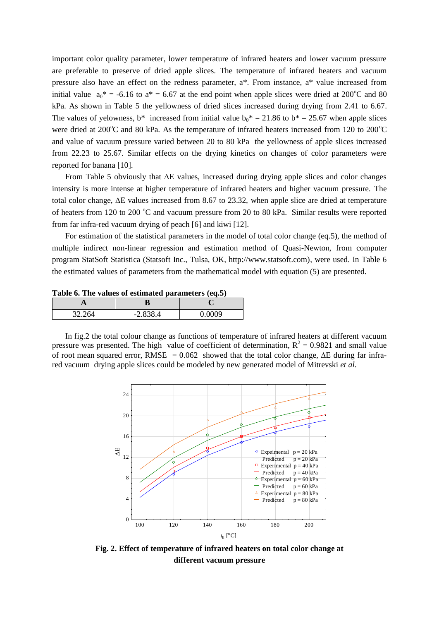important color quality parameter, lower temperature of infrared heaters and lower vacuum pressure are preferable to preserve of dried apple slices. The temperature of infrared heaters and vacuum pressure also have an effect on the redness parameter, a\*. From instance, a\* value increased from initial value  $a_0^* = -6.16$  to  $a^* = 6.67$  at the end point when apple slices were dried at 200<sup>o</sup>C and 80 kPa. As shown in Table 5 the yellowness of dried slices increased during drying from 2.41 to 6.67. The values of yelowness,  $b^*$  increased from initial value  $b_0^* = 21.86$  to  $b^* = 25.67$  when apple slices were dried at  $200^{\circ}$ C and 80 kPa. As the temperature of infrared heaters increased from 120 to  $200^{\circ}$ C and value of vacuum pressure varied between 20 to 80 kPa the yellowness of apple slices increased from 22.23 to 25.67. Similar effects on the drying kinetics on changes of color parameters were reported for banana [10].

From Table 5 obviously that  $\Delta E$  values, increased during drying apple slices and color changes intensity is more intense at higher temperature of infrared heaters and higher vacuum pressure. The total color change,  $\Delta E$  values increased from 8.67 to 23.32, when apple slice are dried at temperature of heaters from 120 to 200  $^{\circ}$ C and vacuum pressure from 20 to 80 kPa. Similar results were reported from far infra-red vacuum drying of peach [6] and kiwi [12].

For estimation of the statistical parameters in the model of total color change (eq.5), the method of multiple indirect non-linear regression and estimation method of Quasi-Newton, from computer program StatSoft Statistica (Statsoft Inc., Tulsa, OK, http://www.statsoft.com), were used. In Table 6 the estimated values of parameters from the mathematical model with equation (5) are presented.

**Table 6. The values of estimated parameters (eq.5)**

| 32.264 | $-2.838.4$ | N UUU U |
|--------|------------|---------|

In fig.2 the total colour change as functions of temperature of infrared heaters at different vacuum pressure was presented. The high value of coefficient of determination,  $R^2 = 0.9821$  and small value of root mean squared error, RMSE =  $0.062$  showed that the total color change,  $\Delta E$  during far infrared vacuum drying apple slices could be modeled by new generated model of Mitrevski *et al*.



**Fig. 2. Effect of temperature of infrared heaters on total color change at different vacuum pressure**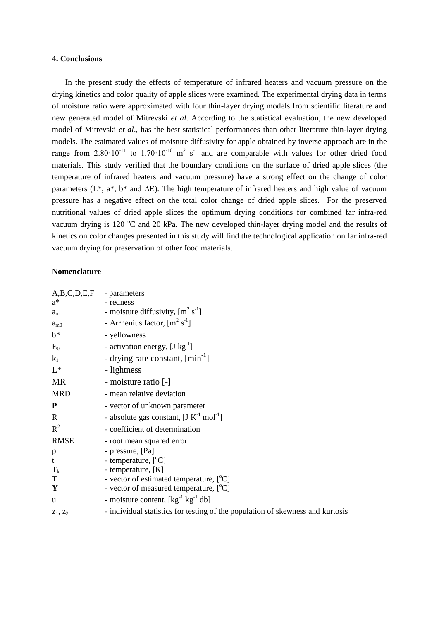## **4. Conclusions**

In the present study the effects of temperature of infrared heaters and vacuum pressure on the drying kinetics and color quality of apple slices were examined. The experimental drying data in terms of moisture ratio were approximated with four thin-layer drying models from scientific literature and new generated model of Mitrevski *et al*. According to the statistical evaluation, the new developed model of Mitrevski *et al*., has the best statistical performances than other literature thin-layer drying models. The estimated values of moisture diffusivity for apple obtained by inverse approach are in the range from  $2.80 \cdot 10^{-11}$  to  $1.70 \cdot 10^{-10}$  m<sup>2</sup> s<sup>-1</sup> and are comparable with values for other dried food materials. This study verified that the boundary conditions on the surface of dried apple slices (the temperature of infrared heaters and vacuum pressure) have a strong effect on the change of color parameters ( $L^*$ ,  $a^*$ ,  $b^*$  and  $\Delta E$ ). The high temperature of infrared heaters and high value of vacuum pressure has a negative effect on the total color change of dried apple slices. For the preserved nutritional values of dried apple slices the optimum drying conditions for combined far infra-red vacuum drying is 120  $^{\circ}$ C and 20 kPa. The new developed thin-layer drying model and the results of kinetics on color changes presented in this study will find the technological application on far infra-red vacuum drying for preservation of other food materials.

## **Nomenclature**

| A,B,C,D,E,F - parameters |                                                                                |
|--------------------------|--------------------------------------------------------------------------------|
| $a^*$                    | - redness                                                                      |
| $a_{\rm m}$              | - moisture diffusivity, $[m^2 s^1]$                                            |
| $a_{m0}$                 | - Arrhenius factor, $[m^2 s^1]$                                                |
| $b^*$                    | - yellowness                                                                   |
| $E_0$                    | - activation energy, $[J kg^{-1}]$                                             |
| $k_1$                    | - drying rate constant, $[\text{min}^{-1}]$                                    |
| $L^*$                    | - lightness                                                                    |
| <b>MR</b>                | - moisture ratio [-]                                                           |
| <b>MRD</b>               | - mean relative deviation                                                      |
| ${\bf P}$                | - vector of unknown parameter                                                  |
| $\mathbf R$              | - absolute gas constant, $[J K^{-1} mol^{-1}]$                                 |
| $R^2$                    | - coefficient of determination                                                 |
| <b>RMSE</b>              | - root mean squared error                                                      |
| p                        | - pressure, [Pa]                                                               |
| $\mathbf t$              | - temperature, [°C]                                                            |
| $T_{\rm k}$              | - temperature, [K]                                                             |
| T                        | - vector of estimated temperature, [°C]                                        |
| Y                        | - vector of measured temperature, [°C]                                         |
| u                        | - moisture content, $[\text{kg}^{-1} \text{ kg}^{-1} \text{ db}]$              |
| $Z_1, Z_2$               | - individual statistics for testing of the population of skewness and kurtosis |
|                          |                                                                                |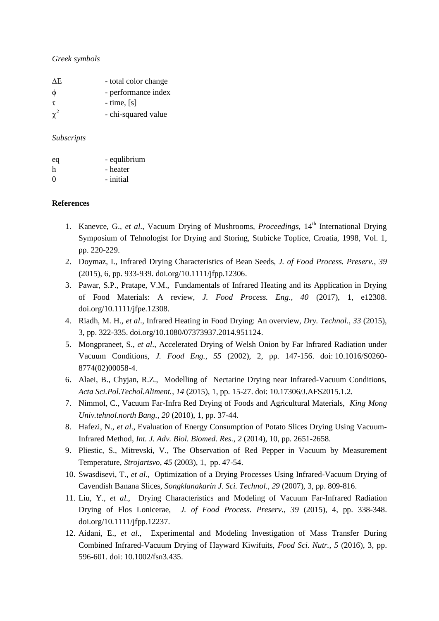## *Greek symbols*

| AE.      | - total color change |
|----------|----------------------|
| $\phi$   | - performance index  |
| $\tau$   | $-$ time, $[s]$      |
| $\chi^2$ | - chi-squared value  |

## *Subscripts*

| eq       | - equlibrium |
|----------|--------------|
| h        | - heater     |
| $\Omega$ | - initial    |

## **References**

- 1. Kanevce, G., *et al.*, Vacuum Drying of Mushrooms, *Proceedings*, 14<sup>th</sup> International Drying Symposium of Tehnologist for Drying and Storing, Stubicke Toplice, Croatia, 1998, Vol. 1, pp. 220-229.
- 2. Doymaz, I., Infrared Drying Characteristics of Bean Seeds, *J. of Food Process. Preserv.*, *39*  (2015), 6, pp. 933-939. [doi.org/10.1111/jfpp.12306.](https://doi.org/10.1111/jfpp.12306)
- 3. Pawar, S.P., Pratape, V.M., Fundamentals of Infrared Heating and its Application in Drying of Food Materials: A review, *J. Food Process. Eng., 40* (2017), 1, e12308. [doi.org/10.1111/jfpe.12308.](https://doi.org/10.1111/jfpe.12308)
- 4. Riadh, M. H., *et al*., Infrared Heating in Food Drying: An overview, *Dry. Technol.*, *33* (2015), 3, pp. 322-335. [doi.org/10.1080/07373937.2014.951124.](https://doi.org/10.1080/07373937.2014.951124)
- 5. Mongpraneet, S., *et al*., Accelerated Drying of Welsh Onion by Far Infrared Radiation under Vacuum Conditions, *J. Food Eng.*, *55* (2002), 2, pp. 147-156. doi: [10.1016/S0260-](https://www.researchgate.net/deref/http%3A%2F%2Fdx.doi.org%2F10.1016%2FS0260-8774(02)00058-4) [8774\(02\)00058-4.](https://www.researchgate.net/deref/http%3A%2F%2Fdx.doi.org%2F10.1016%2FS0260-8774(02)00058-4)
- 6. Alaei, B., Chyjan, R.Z., Modelling of Nectarine Drying near Infrared-Vacuum Conditions, *Acta Sci.Pol.Techol.Aliment.*, *14* (2015), 1, pp. 15-27. doi: 10.17306/J.AFS2015.1.2.
- 7. Nimmol, C., Vacuum Far-Infra Red Drying of Foods and Agricultural Materials, *King Mong Univ.tehnol.north Bang.*, *20* (2010), 1, pp. 37-44.
- 8. Hafezi, N., *et al*., Evaluation of Energy Consumption of Potato Slices Drying Using Vacuum-Infrared Method, *Int. J. Adv. Biol. Biomed. Res.*, *2* (2014), 10, pp. 2651-2658.
- 9. Pliestic, S., Mitrevski, V., The Observation of Red Pepper in Vacuum by Measurement Temperature, *Strojartsvo*, *45* (2003), 1, pp. 47-54.
- 10. Swasdisevi, T., *et al*., Optimization of a Drying Processes Using Infrared-Vacuum Drying of Cavendish Banana Slices, *[Songklanakarin](https://www.researchgate.net/journal/0125-3395_Songklanakarin_Journal_of_Science_and_Technology) J. Sci. Technol.*, *29* (2007), 3, pp. 809-816.
- 11. Liu, Y., *et al*., Drying Characteristics and Modeling of Vacuum Far-Infrared Radiation Drying of Flos Lonicerae, *J. of Food Process. Preserv.*, *39* (2015), 4, pp. 338-348. [doi.org/10.1111/jfpp.12237.](https://doi.org/10.1111/jfpp.12237)
- 12. Aidani, E., *et al*., Experimental and Modeling Investigation of Mass Transfer During Combined Infrared-Vacuum Drying of Hayward Kiwifuits, *Food Sci. Nutr., 5* (2016), 3, pp. 596-601. doi: [10.1002/fsn3.435.](https://doi.org/10.1002/fsn3.435)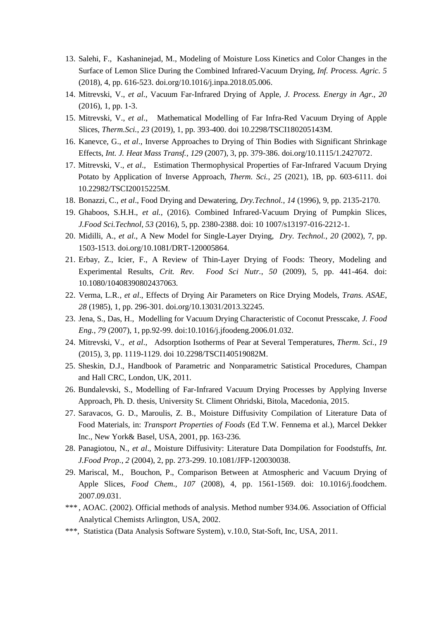- 13. Salehi, F., Kashaninejad, M., Modeling of Moisture Loss Kinetics and Color Changes in the Surface of Lemon Slice During the Combined Infrared-Vacuum Drying, *Inf. Process. Agric. 5* (2018), 4, pp. 616-523. [doi.org/10.1016/j.inpa.2018.05.006.](https://doi.org/10.1016/j.inpa.2018.05.006)
- 14. Mitrevski, V., *et al*., Vacuum Far-Infrared Drying of Apple, *J. Process. Energy in Agr., 20*  (2016), 1, pp. 1-3.
- 15. Mitrevski, V., *et al*., Mathematical Modelling of Far Infra-Red Vacuum Drying of Apple Slices, *Therm.Sci.*, *23* (2019), 1, pp. 393-400. doi 10.2298/TSCI180205143M.
- 16. Kanevce, G., *et al*., Inverse Approaches to Drying of Thin Bodies with Significant Shrinkage Effects, *Int. J. Heat Mass Transf.*, *129* (2007), 3, pp. 379-386. [doi.org/10.1115/1.2427072.](https://doi.org/10.1115/1.2427072)
- 17. Mitrevski, V., *et al*., Estimation Thermophysical Properties of Far-Infrared Vacuum Drying Potato by Application of Inverse Approach, *Therm. Sci.*, *25* (2021), 1B, pp. 603-6111. doi 10.22982/TSCI20015225M.
- 18. Bonazzi, C., *et al*., Food Drying and Dewatering, *Dry.Technol.*, *14* (1996), 9, pp. 2135-2170.
- 19. Ghaboos, S.H.H., *et al.,* (2016). Combined Infrared-Vacuum Drying of Pumpkin Slices, *J.Food Sci.Technol*, *53* (2016), 5, pp. 2380-2388. doi: 10 1007/s13197-016-2212-1.
- 20. Midilli, A., *et al*., A New Model for Single-Layer Drying, *Dry. Technol.*, *20* (2002), 7, pp. 1503-1513. doi.org/10.1081/DRT-120005864.
- 21. Erbay, Z., Icier, F., A Review of Thin-Layer Drying of Foods: Theory, Modeling and Experimental Results, *Crit. Rev. Food Sci Nutr.*, *50* (2009), 5, pp. 441-464. doi: 10.1080/10408390802437063.
- 22. Verma, L.R*., et al*., Effects of Drying Air Parameters on Rice Drying Models, *Trans. ASAE*, *28* (1985), 1, pp. 296-301. doi.org/10.13031/2013.32245.
- 23. Jena, S., Das, H., Modelling for Vacuum Drying Characteristic of Coconut Presscake, *J. Food Eng.*, *79* (2007), 1, pp.92-99. doi:10.1016/j.jfoodeng.2006.01.032.
- 24. Mitrevski, V., *et al*., Adsorption Isotherms of Pear at Several Temperatures, *Therm. Sci.*, *19* (2015), 3, pp. 1119-1129. doi 10.2298/TSCI140519082M.
- 25. Sheskin, D.J., Handbook of Parametric and Nonparametric Satistical Procedures, Champan and Hall CRC, London, UK, 2011.
- 26. Bundalevski, S., Modelling of Far-Infrared Vacuum Drying Processes by Applying Inverse Approach, Ph. D. thesis, University St. Climent Ohridski, Bitola, Macedonia, 2015.
- 27. Saravacos, G. D., Maroulis, Z. B., Moisture Diffusivity Compilation of Literature Data of Food Materials, in: *Transport Properties of Foods* (Ed T.W. Fennema et al.), Marcel Dekker Inc., New York& Basel, USA, 2001, pp. 163-236.
- 28. Panagiotou, N., *et al*., Moisture Diffusivity: Literature Data Dompilation for Foodstuffs, *Int. J.Food Prop.*, *2* (2004), 2, pp. 273-299. [10.1081/JFP-120030038.](https://www.researchgate.net/deref/http%3A%2F%2Fdx.doi.org%2F10.1081%2FJFP-120030038)
- 29. Mariscal, M., Bouchon, P., Comparison Between at Atmospheric and Vacuum Drying of Apple Slices, *Food Chem., 107* (2008), 4, pp. 1561-1569. doi: [10.1016/j.foodchem.](https://www.researchgate.net/deref/http%3A%2F%2Fdx.doi.org%2F10.1016%2Fj.foodchem.2007.09.031) [2007.09.031.](https://www.researchgate.net/deref/http%3A%2F%2Fdx.doi.org%2F10.1016%2Fj.foodchem.2007.09.031)
- \*\*\* , AOAC. (2002). Official methods of analysis. Method number 934.06. Association of Official Analytical Chemists Arlington, USA, 2002.
- \*\*\*, Statistica (Data Analysis Software System), v.10.0, Stat-Soft, Inc, USA, 2011.